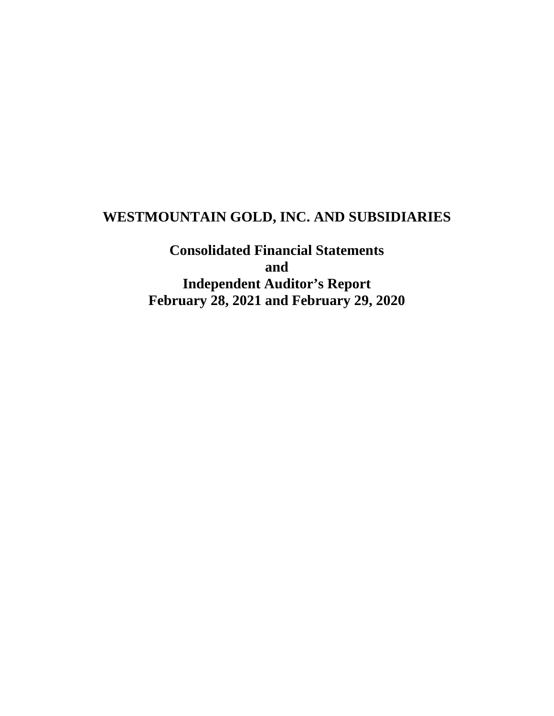# **WESTMOUNTAIN GOLD, INC. AND SUBSIDIARIES**

**Consolidated Financial Statements and Independent Auditor's Report February 28, 2021 and February 29, 2020**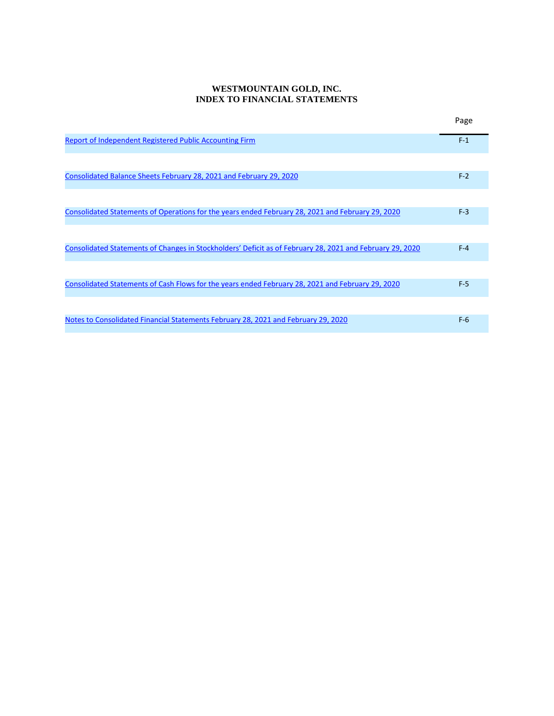# **WESTMOUNTAIN GOLD, INC. INDEX TO FINANCIAL STATEMENTS**

|                                                                                                           | Page  |
|-----------------------------------------------------------------------------------------------------------|-------|
| Report of Independent Registered Public Accounting Firm                                                   | $F-1$ |
|                                                                                                           |       |
| Consolidated Balance Sheets February 28, 2021 and February 29, 2020                                       | $F-2$ |
|                                                                                                           |       |
| Consolidated Statements of Operations for the years ended February 28, 2021 and February 29, 2020         | $F-3$ |
|                                                                                                           |       |
| Consolidated Statements of Changes in Stockholders' Deficit as of February 28, 2021 and February 29, 2020 | $F-4$ |
|                                                                                                           |       |
| Consolidated Statements of Cash Flows for the years ended February 28, 2021 and February 29, 2020         | $F-5$ |
|                                                                                                           |       |
| Notes to Consolidated Financial Statements February 28, 2021 and February 29, 2020                        | $F-6$ |
|                                                                                                           |       |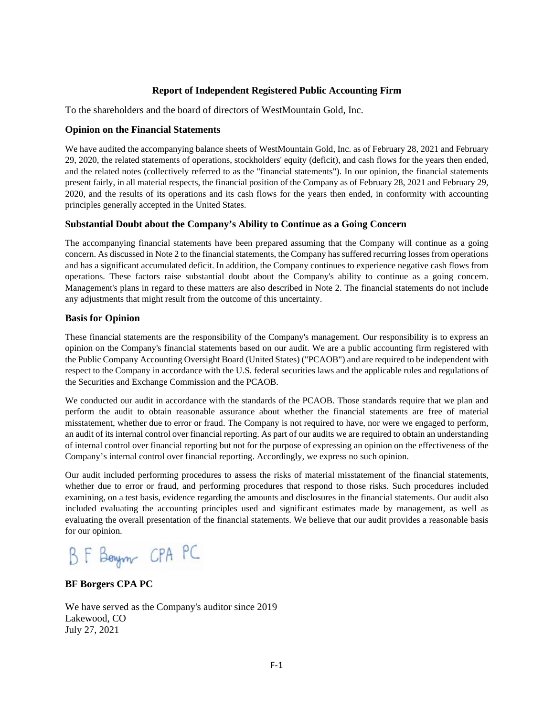# **Report of Independent Registered Public Accounting Firm**

To the shareholders and the board of directors of WestMountain Gold, Inc.

## **Opinion on the Financial Statements**

We have audited the accompanying balance sheets of WestMountain Gold, Inc. as of February 28, 2021 and February 29, 2020, the related statements of operations, stockholders' equity (deficit), and cash flows for the years then ended, and the related notes (collectively referred to as the "financial statements"). In our opinion, the financial statements present fairly, in all material respects, the financial position of the Company as of February 28, 2021 and February 29, 2020, and the results of its operations and its cash flows for the years then ended, in conformity with accounting principles generally accepted in the United States.

# **Substantial Doubt about the Company's Ability to Continue as a Going Concern**

The accompanying financial statements have been prepared assuming that the Company will continue as a going concern. As discussed in Note 2 to the financial statements, the Company has suffered recurring losses from operations and has a significant accumulated deficit. In addition, the Company continues to experience negative cash flows from operations. These factors raise substantial doubt about the Company's ability to continue as a going concern. Management's plans in regard to these matters are also described in Note 2. The financial statements do not include any adjustments that might result from the outcome of this uncertainty.

# **Basis for Opinion**

These financial statements are the responsibility of the Company's management. Our responsibility is to express an opinion on the Company's financial statements based on our audit. We are a public accounting firm registered with the Public Company Accounting Oversight Board (United States) ("PCAOB") and are required to be independent with respect to the Company in accordance with the U.S. federal securities laws and the applicable rules and regulations of the Securities and Exchange Commission and the PCAOB.

We conducted our audit in accordance with the standards of the PCAOB. Those standards require that we plan and perform the audit to obtain reasonable assurance about whether the financial statements are free of material misstatement, whether due to error or fraud. The Company is not required to have, nor were we engaged to perform, an audit of its internal control over financial reporting. As part of our audits we are required to obtain an understanding of internal control over financial reporting but not for the purpose of expressing an opinion on the effectiveness of the Company's internal control over financial reporting. Accordingly, we express no such opinion.

Our audit included performing procedures to assess the risks of material misstatement of the financial statements, whether due to error or fraud, and performing procedures that respond to those risks. Such procedures included examining, on a test basis, evidence regarding the amounts and disclosures in the financial statements. Our audit also included evaluating the accounting principles used and significant estimates made by management, as well as evaluating the overall presentation of the financial statements. We believe that our audit provides a reasonable basis for our opinion.

BF Boym CPA PC

# **BF Borgers CPA PC**

We have served as the Company's auditor since 2019 Lakewood, CO July 27, 2021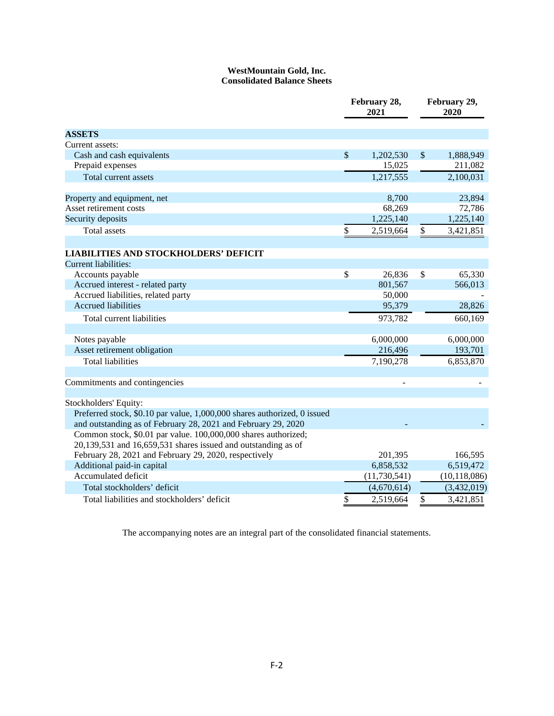# **WestMountain Gold, Inc. Consolidated Balance Sheets**

|                                                                          | February 28,<br>2021 | February 29,<br>2020 |                |  |
|--------------------------------------------------------------------------|----------------------|----------------------|----------------|--|
| <b>ASSETS</b>                                                            |                      |                      |                |  |
| Current assets:                                                          |                      |                      |                |  |
| Cash and cash equivalents                                                | \$<br>1,202,530      | \$                   | 1,888,949      |  |
| Prepaid expenses                                                         | 15,025               |                      | 211,082        |  |
| Total current assets                                                     | 1,217,555            |                      | 2,100,031      |  |
| Property and equipment, net                                              | 8,700                |                      | 23,894         |  |
| Asset retirement costs                                                   | 68,269               |                      | 72,786         |  |
| Security deposits                                                        | 1,225,140            |                      | 1,225,140      |  |
| <b>Total</b> assets                                                      | \$<br>2,519,664      | \$                   | 3,421,851      |  |
| <b>LIABILITIES AND STOCKHOLDERS' DEFICIT</b>                             |                      |                      |                |  |
| <b>Current liabilities:</b>                                              |                      |                      |                |  |
| Accounts payable                                                         | \$<br>26,836         | \$                   | 65,330         |  |
| Accrued interest - related party                                         | 801,567              |                      | 566,013        |  |
| Accrued liabilities, related party                                       | 50,000               |                      |                |  |
| <b>Accrued liabilities</b>                                               | 95,379               |                      | 28,826         |  |
| Total current liabilities                                                | 973,782              |                      | 660,169        |  |
|                                                                          |                      |                      |                |  |
| Notes payable                                                            | 6,000,000            |                      | 6,000,000      |  |
| Asset retirement obligation                                              | 216,496              |                      | 193,701        |  |
| <b>Total liabilities</b>                                                 | 7,190,278            |                      | 6,853,870      |  |
|                                                                          |                      |                      |                |  |
| Commitments and contingencies                                            |                      |                      |                |  |
| Stockholders' Equity:                                                    |                      |                      |                |  |
| Preferred stock, \$0.10 par value, 1,000,000 shares authorized, 0 issued |                      |                      |                |  |
| and outstanding as of February 28, 2021 and February 29, 2020            |                      |                      |                |  |
| Common stock, \$0.01 par value. 100,000,000 shares authorized;           |                      |                      |                |  |
| $20,139,531$ and $16,659,531$ shares issued and outstanding as of        |                      |                      |                |  |
| February 28, 2021 and February 29, 2020, respectively                    | 201,395              |                      | 166,595        |  |
| Additional paid-in capital                                               | 6,858,532            |                      | 6,519,472      |  |
| Accumulated deficit                                                      | (11, 730, 541)       |                      | (10, 118, 086) |  |
| Total stockholders' deficit                                              | (4,670,614)          |                      | (3,432,019)    |  |
| Total liabilities and stockholders' deficit                              | \$<br>2,519,664      | \$                   | 3,421,851      |  |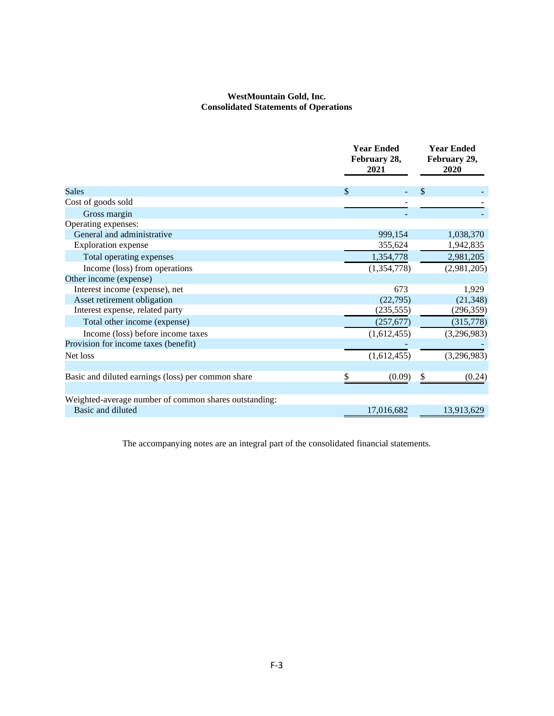## **WestMountain Gold, Inc. Consolidated Statements of Operations**

|                                                       | <b>Year Ended</b><br>February 28,<br>2021 | <b>Year Ended</b><br>February 29,<br>2020 |  |  |
|-------------------------------------------------------|-------------------------------------------|-------------------------------------------|--|--|
| <b>Sales</b>                                          | <sup>\$</sup>                             | \$                                        |  |  |
| Cost of goods sold                                    |                                           |                                           |  |  |
| Gross margin                                          |                                           |                                           |  |  |
| Operating expenses:                                   |                                           |                                           |  |  |
| General and administrative                            | 999,154                                   | 1,038,370                                 |  |  |
| <b>Exploration</b> expense                            | 355,624                                   | 1,942,835                                 |  |  |
| Total operating expenses                              | 1,354,778                                 | 2,981,205                                 |  |  |
| Income (loss) from operations                         | (1,354,778)                               | (2,981,205)                               |  |  |
| Other income (expense)                                |                                           |                                           |  |  |
| Interest income (expense), net                        | 673                                       | 1,929                                     |  |  |
| Asset retirement obligation                           | (22, 795)                                 | (21, 348)                                 |  |  |
| Interest expense, related party                       | (235, 555)                                | (296, 359)                                |  |  |
| Total other income (expense)                          | (257, 677)                                | (315,778)                                 |  |  |
| Income (loss) before income taxes                     | (1,612,455)                               | (3,296,983)                               |  |  |
| Provision for income taxes (benefit)                  |                                           |                                           |  |  |
| Net loss                                              | (1,612,455)                               | (3,296,983)                               |  |  |
|                                                       |                                           |                                           |  |  |
| Basic and diluted earnings (loss) per common share    | (0.09)                                    | (0.24)                                    |  |  |
| Weighted-average number of common shares outstanding: |                                           |                                           |  |  |
| Basic and diluted                                     | 17,016,682                                | 13,913,629                                |  |  |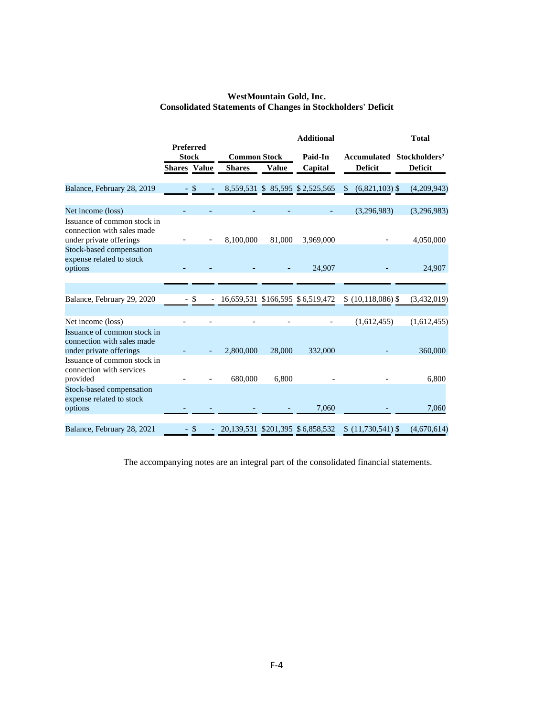# **WestMountain Gold, Inc. Consolidated Statements of Changes in Stockholders' Deficit**

|                                                                                      |                                  |      |                                     | <b>Additional</b> |                                  |                                  |                                  |  |
|--------------------------------------------------------------------------------------|----------------------------------|------|-------------------------------------|-------------------|----------------------------------|----------------------------------|----------------------------------|--|
|                                                                                      | <b>Preferred</b><br><b>Stock</b> |      | <b>Common Stock</b>                 |                   | Paid-In                          |                                  | <b>Accumulated Stockholders'</b> |  |
|                                                                                      | <b>Shares</b> Value              |      | <b>Shares</b>                       | <b>Value</b>      | Capital                          | <b>Deficit</b>                   | <b>Deficit</b>                   |  |
| Balance, February 28, 2019                                                           |                                  | -S   |                                     |                   | 8,559,531 \$ 85,595 \$ 2,525,565 | $\mathbb{S}$<br>$(6,821,103)$ \$ | (4,209,943)                      |  |
| Net income (loss)                                                                    |                                  |      |                                     |                   |                                  | (3,296,983)                      | (3,296,983)                      |  |
| Issuance of common stock in<br>connection with sales made<br>under private offerings |                                  |      | 8,100,000                           | 81,000            | 3,969,000                        |                                  | 4,050,000                        |  |
| Stock-based compensation<br>expense related to stock                                 |                                  |      |                                     |                   |                                  |                                  |                                  |  |
| options                                                                              |                                  |      |                                     |                   | 24,907                           |                                  | 24,907                           |  |
|                                                                                      |                                  |      |                                     |                   |                                  |                                  |                                  |  |
| Balance, February 29, 2020                                                           |                                  | - \$ | $-16,659,531$ \$166,595 \$6,519,472 |                   |                                  | \$(10,118,086)                   | (3,432,019)                      |  |
| Net income (loss)                                                                    |                                  |      |                                     |                   |                                  | (1,612,455)                      | (1,612,455)                      |  |
| Issuance of common stock in<br>connection with sales made<br>under private offerings |                                  |      | 2,800,000                           | 28,000            | 332,000                          |                                  | 360,000                          |  |
| Issuance of common stock in<br>connection with services                              |                                  |      |                                     |                   |                                  |                                  |                                  |  |
| provided                                                                             |                                  |      | 680,000                             | 6,800             |                                  |                                  | 6,800                            |  |
| Stock-based compensation<br>expense related to stock                                 |                                  |      |                                     |                   |                                  |                                  |                                  |  |
| options                                                                              |                                  |      |                                     |                   | 7,060                            |                                  | 7,060                            |  |
| Balance, February 28, 2021                                                           |                                  | -S   | 20,139,531 \$201,395 \$6,858,532    |                   |                                  | $$(11,730,541)$ \$               | (4,670,614)                      |  |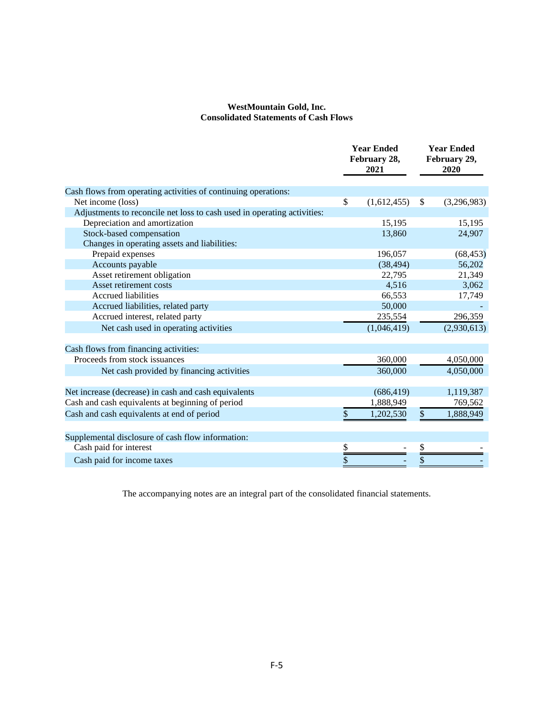# **WestMountain Gold, Inc. Consolidated Statements of Cash Flows**

|                                                                         | <b>Year Ended</b><br>February 28,<br>2021 |    | <b>Year Ended</b><br>February 29,<br>2020 |
|-------------------------------------------------------------------------|-------------------------------------------|----|-------------------------------------------|
| Cash flows from operating activities of continuing operations:          |                                           |    |                                           |
| Net income (loss)                                                       | \$<br>(1,612,455)                         | \$ | (3,296,983)                               |
| Adjustments to reconcile net loss to cash used in operating activities: |                                           |    |                                           |
| Depreciation and amortization                                           | 15,195                                    |    | 15,195                                    |
| Stock-based compensation                                                | 13,860                                    |    | 24,907                                    |
| Changes in operating assets and liabilities:                            |                                           |    |                                           |
| Prepaid expenses                                                        | 196,057                                   |    | (68, 453)                                 |
| Accounts payable                                                        | (38, 494)                                 |    | 56,202                                    |
| Asset retirement obligation                                             | 22,795                                    |    | 21,349                                    |
| Asset retirement costs                                                  | 4,516                                     |    | 3,062                                     |
| <b>Accrued liabilities</b>                                              | 66,553                                    |    | 17,749                                    |
| Accrued liabilities, related party                                      | 50,000                                    |    |                                           |
| Accrued interest, related party                                         | 235,554                                   |    | 296,359                                   |
| Net cash used in operating activities                                   | (1,046,419)                               |    | (2,930,613)                               |
| Cash flows from financing activities:                                   |                                           |    |                                           |
| Proceeds from stock issuances                                           | 360,000                                   |    | 4,050,000                                 |
| Net cash provided by financing activities                               | 360,000                                   |    | 4,050,000                                 |
| Net increase (decrease) in cash and cash equivalents                    |                                           |    |                                           |
|                                                                         | (686, 419)                                |    | 1,119,387                                 |
| Cash and cash equivalents at beginning of period                        | 1,888,949                                 |    | 769,562                                   |
| Cash and cash equivalents at end of period                              | \$<br>1,202,530                           | \$ | 1,888,949                                 |
| Supplemental disclosure of cash flow information:                       |                                           |    |                                           |
| Cash paid for interest                                                  | \$                                        | \$ |                                           |
| Cash paid for income taxes                                              | \$                                        | \$ |                                           |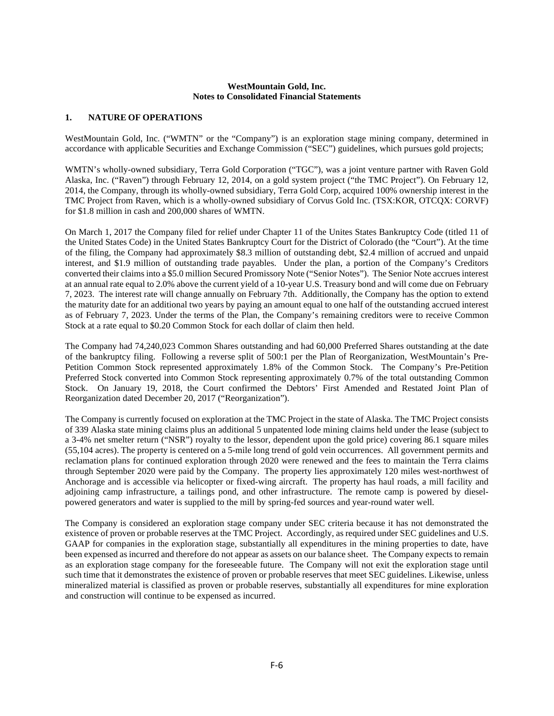#### **WestMountain Gold, Inc. Notes to Consolidated Financial Statements**

## **1. NATURE OF OPERATIONS**

WestMountain Gold, Inc. ("WMTN" or the "Company") is an exploration stage mining company, determined in accordance with applicable Securities and Exchange Commission ("SEC") guidelines, which pursues gold projects;

WMTN's wholly-owned subsidiary, Terra Gold Corporation ("TGC"), was a joint venture partner with Raven Gold Alaska, Inc. ("Raven") through February 12, 2014, on a gold system project ("the TMC Project"). On February 12, 2014, the Company, through its wholly-owned subsidiary, Terra Gold Corp, acquired 100% ownership interest in the TMC Project from Raven, which is a wholly-owned subsidiary of Corvus Gold Inc. (TSX:KOR, OTCQX: CORVF) for \$1.8 million in cash and 200,000 shares of WMTN.

On March 1, 2017 the Company filed for relief under Chapter 11 of the Unites States Bankruptcy Code (titled 11 of the United States Code) in the United States Bankruptcy Court for the District of Colorado (the "Court"). At the time of the filing, the Company had approximately \$8.3 million of outstanding debt, \$2.4 million of accrued and unpaid interest, and \$1.9 million of outstanding trade payables. Under the plan, a portion of the Company's Creditors converted their claims into a \$5.0 million Secured Promissory Note ("Senior Notes"). The Senior Note accrues interest at an annual rate equal to 2.0% above the current yield of a 10-year U.S. Treasury bond and will come due on February 7, 2023. The interest rate will change annually on February 7th. Additionally, the Company has the option to extend the maturity date for an additional two years by paying an amount equal to one half of the outstanding accrued interest as of February 7, 2023. Under the terms of the Plan, the Company's remaining creditors were to receive Common Stock at a rate equal to \$0.20 Common Stock for each dollar of claim then held.

The Company had 74,240,023 Common Shares outstanding and had 60,000 Preferred Shares outstanding at the date of the bankruptcy filing. Following a reverse split of 500:1 per the Plan of Reorganization, WestMountain's Pre-Petition Common Stock represented approximately 1.8% of the Common Stock. The Company's Pre-Petition Preferred Stock converted into Common Stock representing approximately 0.7% of the total outstanding Common Stock. On January 19, 2018, the Court confirmed the Debtors' First Amended and Restated Joint Plan of Reorganization dated December 20, 2017 ("Reorganization").

The Company is currently focused on exploration at the TMC Project in the state of Alaska. The TMC Project consists of 339 Alaska state mining claims plus an additional 5 unpatented lode mining claims held under the lease (subject to a 3-4% net smelter return ("NSR") royalty to the lessor, dependent upon the gold price) covering 86.1 square miles (55,104 acres). The property is centered on a 5-mile long trend of gold vein occurrences. All government permits and reclamation plans for continued exploration through 2020 were renewed and the fees to maintain the Terra claims through September 2020 were paid by the Company. The property lies approximately 120 miles west-northwest of Anchorage and is accessible via helicopter or fixed-wing aircraft. The property has haul roads, a mill facility and adjoining camp infrastructure, a tailings pond, and other infrastructure. The remote camp is powered by dieselpowered generators and water is supplied to the mill by spring-fed sources and year-round water well.

The Company is considered an exploration stage company under SEC criteria because it has not demonstrated the existence of proven or probable reserves at the TMC Project. Accordingly, as required under SEC guidelines and U.S. GAAP for companies in the exploration stage, substantially all expenditures in the mining properties to date, have been expensed as incurred and therefore do not appear as assets on our balance sheet. The Company expects to remain as an exploration stage company for the foreseeable future. The Company will not exit the exploration stage until such time that it demonstrates the existence of proven or probable reserves that meet SEC guidelines. Likewise, unless mineralized material is classified as proven or probable reserves, substantially all expenditures for mine exploration and construction will continue to be expensed as incurred.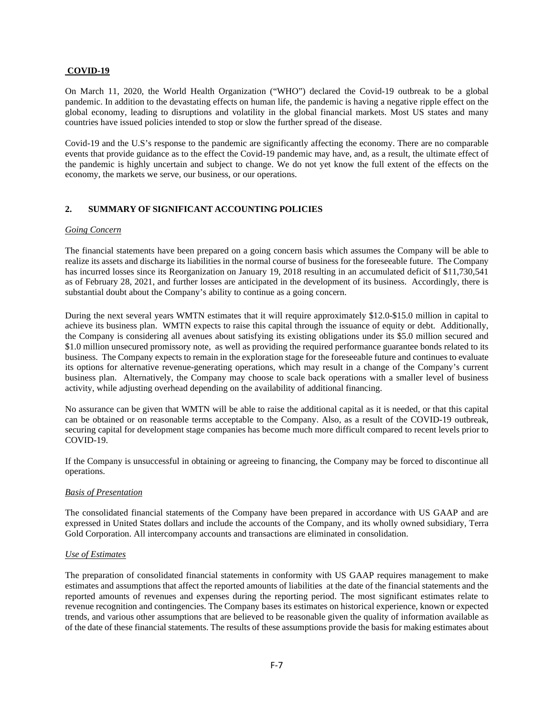## **COVID-19**

On March 11, 2020, the World Health Organization ("WHO") declared the Covid-19 outbreak to be a global pandemic. In addition to the devastating effects on human life, the pandemic is having a negative ripple effect on the global economy, leading to disruptions and volatility in the global financial markets. Most US states and many countries have issued policies intended to stop or slow the further spread of the disease.

Covid-19 and the U.S's response to the pandemic are significantly affecting the economy. There are no comparable events that provide guidance as to the effect the Covid-19 pandemic may have, and, as a result, the ultimate effect of the pandemic is highly uncertain and subject to change. We do not yet know the full extent of the effects on the economy, the markets we serve, our business, or our operations.

# **2. SUMMARY OF SIGNIFICANT ACCOUNTING POLICIES**

#### *Going Concern*

The financial statements have been prepared on a going concern basis which assumes the Company will be able to realize its assets and discharge its liabilities in the normal course of business for the foreseeable future. The Company has incurred losses since its Reorganization on January 19, 2018 resulting in an accumulated deficit of \$11,730,541 as of February 28, 2021, and further losses are anticipated in the development of its business. Accordingly, there is substantial doubt about the Company's ability to continue as a going concern.

During the next several years WMTN estimates that it will require approximately \$12.0-\$15.0 million in capital to achieve its business plan. WMTN expects to raise this capital through the issuance of equity or debt. Additionally, the Company is considering all avenues about satisfying its existing obligations under its \$5.0 million secured and \$1.0 million unsecured promissory note, as well as providing the required performance guarantee bonds related to its business. The Company expects to remain in the exploration stage for the foreseeable future and continues to evaluate its options for alternative revenue-generating operations, which may result in a change of the Company's current business plan. Alternatively, the Company may choose to scale back operations with a smaller level of business activity, while adjusting overhead depending on the availability of additional financing.

No assurance can be given that WMTN will be able to raise the additional capital as it is needed, or that this capital can be obtained or on reasonable terms acceptable to the Company. Also, as a result of the COVID-19 outbreak, securing capital for development stage companies has become much more difficult compared to recent levels prior to COVID-19.

If the Company is unsuccessful in obtaining or agreeing to financing, the Company may be forced to discontinue all operations.

#### *Basis of Presentation*

The consolidated financial statements of the Company have been prepared in accordance with US GAAP and are expressed in United States dollars and include the accounts of the Company, and its wholly owned subsidiary, Terra Gold Corporation. All intercompany accounts and transactions are eliminated in consolidation.

# *Use of Estimates*

The preparation of consolidated financial statements in conformity with US GAAP requires management to make estimates and assumptions that affect the reported amounts of liabilities at the date of the financial statements and the reported amounts of revenues and expenses during the reporting period. The most significant estimates relate to revenue recognition and contingencies. The Company bases its estimates on historical experience, known or expected trends, and various other assumptions that are believed to be reasonable given the quality of information available as of the date of these financial statements. The results of these assumptions provide the basis for making estimates about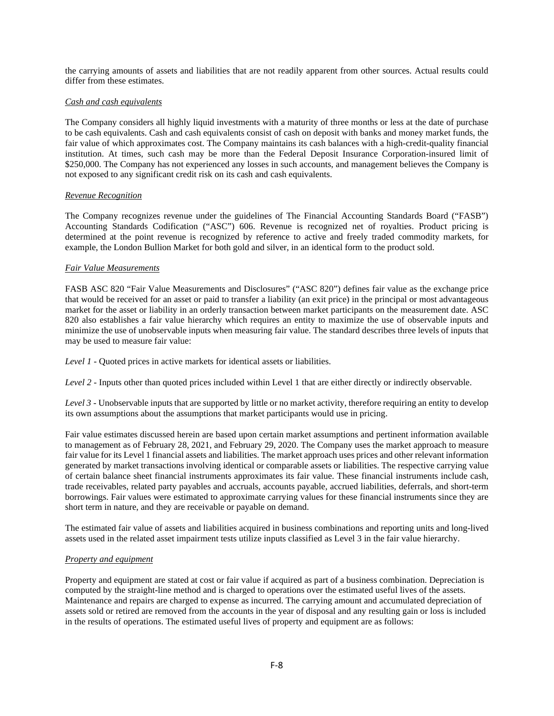the carrying amounts of assets and liabilities that are not readily apparent from other sources. Actual results could differ from these estimates.

## *Cash and cash equivalents*

The Company considers all highly liquid investments with a maturity of three months or less at the date of purchase to be cash equivalents. Cash and cash equivalents consist of cash on deposit with banks and money market funds, the fair value of which approximates cost. The Company maintains its cash balances with a high-credit-quality financial institution. At times, such cash may be more than the Federal Deposit Insurance Corporation-insured limit of \$250,000. The Company has not experienced any losses in such accounts, and management believes the Company is not exposed to any significant credit risk on its cash and cash equivalents.

## *Revenue Recognition*

The Company recognizes revenue under the guidelines of The Financial Accounting Standards Board ("FASB") Accounting Standards Codification ("ASC") 606. Revenue is recognized net of royalties. Product pricing is determined at the point revenue is recognized by reference to active and freely traded commodity markets, for example, the London Bullion Market for both gold and silver, in an identical form to the product sold.

#### *Fair Value Measurements*

FASB ASC 820 "Fair Value Measurements and Disclosures" ("ASC 820") defines fair value as the exchange price that would be received for an asset or paid to transfer a liability (an exit price) in the principal or most advantageous market for the asset or liability in an orderly transaction between market participants on the measurement date. ASC 820 also establishes a fair value hierarchy which requires an entity to maximize the use of observable inputs and minimize the use of unobservable inputs when measuring fair value. The standard describes three levels of inputs that may be used to measure fair value:

*Level 1* - Quoted prices in active markets for identical assets or liabilities.

*Level 2* - Inputs other than quoted prices included within Level 1 that are either directly or indirectly observable.

*Level 3* - Unobservable inputs that are supported by little or no market activity, therefore requiring an entity to develop its own assumptions about the assumptions that market participants would use in pricing.

Fair value estimates discussed herein are based upon certain market assumptions and pertinent information available to management as of February 28, 2021, and February 29, 2020. The Company uses the market approach to measure fair value for its Level 1 financial assets and liabilities. The market approach uses prices and other relevant information generated by market transactions involving identical or comparable assets or liabilities. The respective carrying value of certain balance sheet financial instruments approximates its fair value. These financial instruments include cash, trade receivables, related party payables and accruals, accounts payable, accrued liabilities, deferrals, and short-term borrowings. Fair values were estimated to approximate carrying values for these financial instruments since they are short term in nature, and they are receivable or payable on demand.

The estimated fair value of assets and liabilities acquired in business combinations and reporting units and long-lived assets used in the related asset impairment tests utilize inputs classified as Level 3 in the fair value hierarchy.

#### *Property and equipment*

Property and equipment are stated at cost or fair value if acquired as part of a business combination. Depreciation is computed by the straight-line method and is charged to operations over the estimated useful lives of the assets. Maintenance and repairs are charged to expense as incurred. The carrying amount and accumulated depreciation of assets sold or retired are removed from the accounts in the year of disposal and any resulting gain or loss is included in the results of operations. The estimated useful lives of property and equipment are as follows: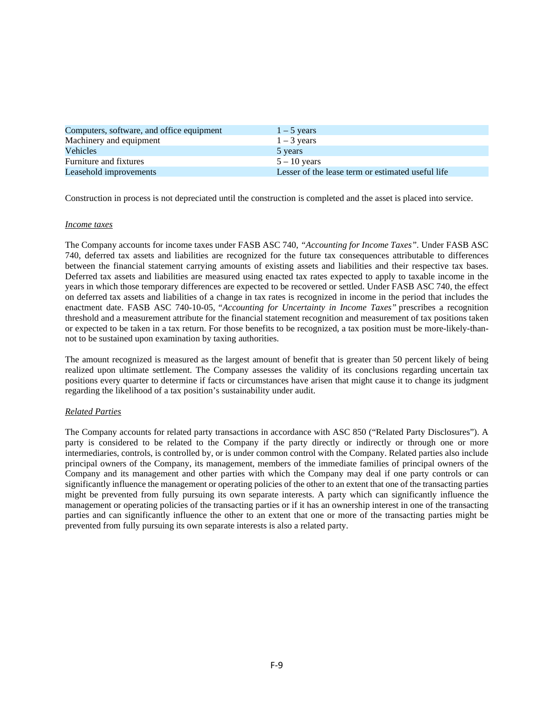| Computers, software, and office equipment | $1 - 5$ years                                     |
|-------------------------------------------|---------------------------------------------------|
| Machinery and equipment                   | $1 - 3$ years                                     |
| <b>Vehicles</b>                           | 5 years                                           |
| Furniture and fixtures                    | $5 - 10$ years                                    |
| Leasehold improvements                    | Lesser of the lease term or estimated useful life |

Construction in process is not depreciated until the construction is completed and the asset is placed into service.

#### *Income taxes*

The Company accounts for income taxes under FASB ASC 740, *"Accounting for Income Taxes"*. Under FASB ASC 740, deferred tax assets and liabilities are recognized for the future tax consequences attributable to differences between the financial statement carrying amounts of existing assets and liabilities and their respective tax bases. Deferred tax assets and liabilities are measured using enacted tax rates expected to apply to taxable income in the years in which those temporary differences are expected to be recovered or settled. Under FASB ASC 740, the effect on deferred tax assets and liabilities of a change in tax rates is recognized in income in the period that includes the enactment date. FASB ASC 740-10-05, *"Accounting for Uncertainty in Income Taxes"* prescribes a recognition threshold and a measurement attribute for the financial statement recognition and measurement of tax positions taken or expected to be taken in a tax return. For those benefits to be recognized, a tax position must be more-likely-thannot to be sustained upon examination by taxing authorities.

The amount recognized is measured as the largest amount of benefit that is greater than 50 percent likely of being realized upon ultimate settlement. The Company assesses the validity of its conclusions regarding uncertain tax positions every quarter to determine if facts or circumstances have arisen that might cause it to change its judgment regarding the likelihood of a tax position's sustainability under audit.

#### *Related Parties*

The Company accounts for related party transactions in accordance with ASC 850 ("Related Party Disclosures"). A party is considered to be related to the Company if the party directly or indirectly or through one or more intermediaries, controls, is controlled by, or is under common control with the Company. Related parties also include principal owners of the Company, its management, members of the immediate families of principal owners of the Company and its management and other parties with which the Company may deal if one party controls or can significantly influence the management or operating policies of the other to an extent that one of the transacting parties might be prevented from fully pursuing its own separate interests. A party which can significantly influence the management or operating policies of the transacting parties or if it has an ownership interest in one of the transacting parties and can significantly influence the other to an extent that one or more of the transacting parties might be prevented from fully pursuing its own separate interests is also a related party.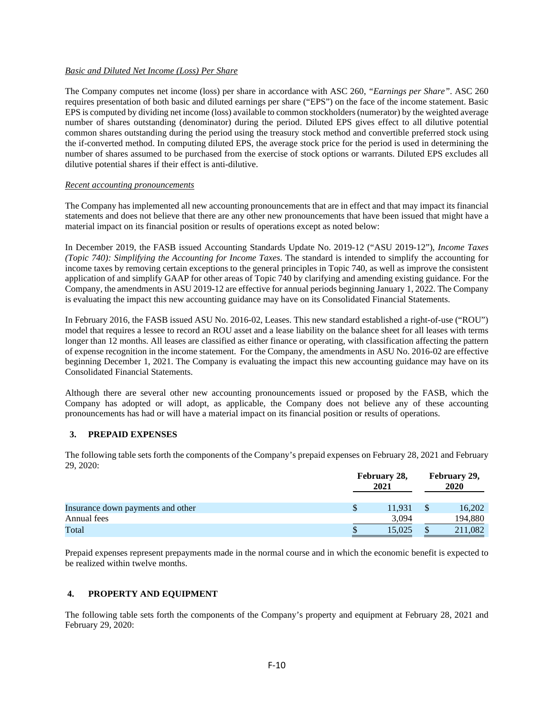## *Basic and Diluted Net Income (Loss) Per Share*

The Company computes net income (loss) per share in accordance with ASC 260, *"Earnings per Share"*. ASC 260 requires presentation of both basic and diluted earnings per share ("EPS") on the face of the income statement. Basic EPS is computed by dividing net income (loss) available to common stockholders (numerator) by the weighted average number of shares outstanding (denominator) during the period. Diluted EPS gives effect to all dilutive potential common shares outstanding during the period using the treasury stock method and convertible preferred stock using the if-converted method. In computing diluted EPS, the average stock price for the period is used in determining the number of shares assumed to be purchased from the exercise of stock options or warrants. Diluted EPS excludes all dilutive potential shares if their effect is anti-dilutive.

#### *Recent accounting pronouncements*

The Company has implemented all new accounting pronouncements that are in effect and that may impact its financial statements and does not believe that there are any other new pronouncements that have been issued that might have a material impact on its financial position or results of operations except as noted below:

In December 2019, the FASB issued Accounting Standards Update No. 2019-12 ("ASU 2019-12"), *Income Taxes (Topic 740): Simplifying the Accounting for Income Taxes*. The standard is intended to simplify the accounting for income taxes by removing certain exceptions to the general principles in Topic 740, as well as improve the consistent application of and simplify GAAP for other areas of Topic 740 by clarifying and amending existing guidance. For the Company, the amendments in ASU 2019-12 are effective for annual periods beginning January 1, 2022. The Company is evaluating the impact this new accounting guidance may have on its Consolidated Financial Statements.

In February 2016, the FASB issued ASU No. 2016-02, Leases. This new standard established a right-of-use ("ROU") model that requires a lessee to record an ROU asset and a lease liability on the balance sheet for all leases with terms longer than 12 months. All leases are classified as either finance or operating, with classification affecting the pattern of expense recognition in the income statement. For the Company, the amendments in ASU No. 2016-02 are effective beginning December 1, 2021. The Company is evaluating the impact this new accounting guidance may have on its Consolidated Financial Statements.

Although there are several other new accounting pronouncements issued or proposed by the FASB, which the Company has adopted or will adopt, as applicable, the Company does not believe any of these accounting pronouncements has had or will have a material impact on its financial position or results of operations.

# **3. PREPAID EXPENSES**

The following table sets forth the components of the Company's prepaid expenses on February 28, 2021 and February 29, 2020:

|                                   | February 28,<br>2021 | February 29,<br>2020 |
|-----------------------------------|----------------------|----------------------|
| Insurance down payments and other | 11.931               | 16,202               |
| Annual fees                       | 3.094                | 194,880              |
| Total                             | 15.025               | 211,082              |

Prepaid expenses represent prepayments made in the normal course and in which the economic benefit is expected to be realized within twelve months.

# **4. PROPERTY AND EQUIPMENT**

The following table sets forth the components of the Company's property and equipment at February 28, 2021 and February 29, 2020: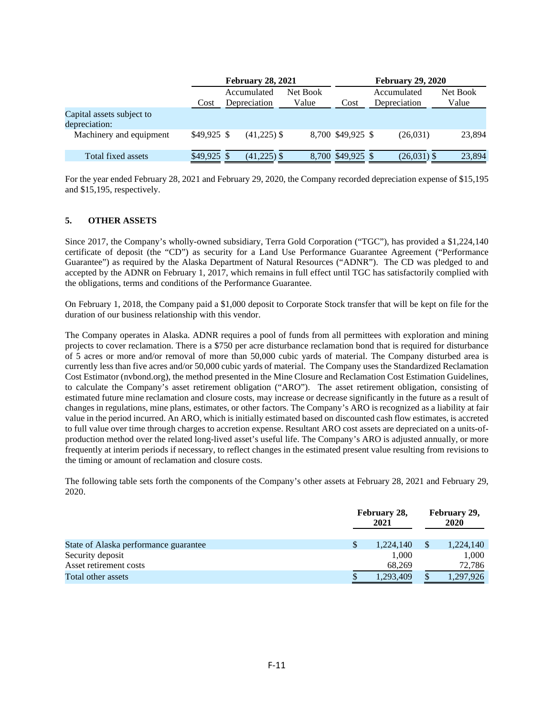|                                            |              | <b>February 28, 2021</b>    |                   | <b>February 29, 2020</b> |                             |                   |  |
|--------------------------------------------|--------------|-----------------------------|-------------------|--------------------------|-----------------------------|-------------------|--|
|                                            | Cost         | Accumulated<br>Depreciation | Net Book<br>Value | Cost                     | Accumulated<br>Depreciation | Net Book<br>Value |  |
| Capital assets subject to<br>depreciation: |              |                             |                   |                          |                             |                   |  |
| Machinery and equipment                    | $$49.925$ \$ | $(41,225)$ \$               |                   | 8,700 \$49,925 \$        | (26,031)                    | 23,894            |  |
| Total fixed assets                         | $$49,925$ \$ | $(41.225)$ \$               |                   | 8,700 \$49,925 \$        | $(26,031)$ \$               | 23.894            |  |

For the year ended February 28, 2021 and February 29, 2020, the Company recorded depreciation expense of \$15,195 and \$15,195, respectively.

# **5. OTHER ASSETS**

Since 2017, the Company's wholly-owned subsidiary, Terra Gold Corporation ("TGC"), has provided a \$1,224,140 certificate of deposit (the "CD") as security for a Land Use Performance Guarantee Agreement ("Performance Guarantee") as required by the Alaska Department of Natural Resources ("ADNR"). The CD was pledged to and accepted by the ADNR on February 1, 2017, which remains in full effect until TGC has satisfactorily complied with the obligations, terms and conditions of the Performance Guarantee.

On February 1, 2018, the Company paid a \$1,000 deposit to Corporate Stock transfer that will be kept on file for the duration of our business relationship with this vendor.

The Company operates in Alaska. ADNR requires a pool of funds from all permittees with exploration and mining projects to cover reclamation. There is a \$750 per acre disturbance reclamation bond that is required for disturbance of 5 acres or more and/or removal of more than 50,000 cubic yards of material. The Company disturbed area is currently less than five acres and/or 50,000 cubic yards of material. The Company uses the Standardized Reclamation Cost Estimator (nvbond.org), the method presented in the Mine Closure and Reclamation Cost Estimation Guidelines, to calculate the Company's asset retirement obligation ("ARO"). The asset retirement obligation, consisting of estimated future mine reclamation and closure costs, may increase or decrease significantly in the future as a result of changes in regulations, mine plans, estimates, or other factors. The Company's ARO is recognized as a liability at fair value in the period incurred. An ARO, which is initially estimated based on discounted cash flow estimates, is accreted to full value over time through charges to accretion expense. Resultant ARO cost assets are depreciated on a units-ofproduction method over the related long-lived asset's useful life. The Company's ARO is adjusted annually, or more frequently at interim periods if necessary, to reflect changes in the estimated present value resulting from revisions to the timing or amount of reclamation and closure costs.

The following table sets forth the components of the Company's other assets at February 28, 2021 and February 29, 2020.

|                                       | February 28,<br>2021 | February 29,<br>2020 |           |  |
|---------------------------------------|----------------------|----------------------|-----------|--|
| State of Alaska performance guarantee | 1,224,140            |                      | 1,224,140 |  |
| Security deposit                      | 1.000                |                      | 1,000     |  |
| Asset retirement costs                | 68.269               |                      | 72,786    |  |
| Total other assets                    | 1,293,409            | S                    | 1,297,926 |  |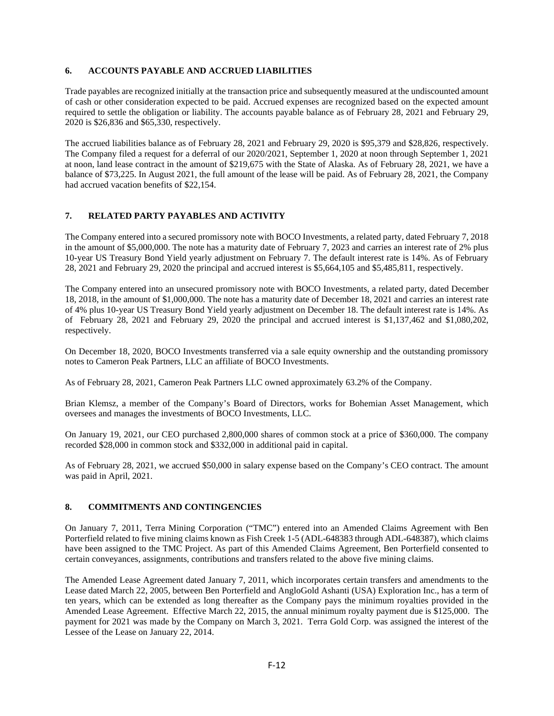## **6. ACCOUNTS PAYABLE AND ACCRUED LIABILITIES**

Trade payables are recognized initially at the transaction price and subsequently measured at the undiscounted amount of cash or other consideration expected to be paid. Accrued expenses are recognized based on the expected amount required to settle the obligation or liability. The accounts payable balance as of February 28, 2021 and February 29, 2020 is \$26,836 and \$65,330, respectively.

The accrued liabilities balance as of February 28, 2021 and February 29, 2020 is \$95,379 and \$28,826, respectively. The Company filed a request for a deferral of our 2020/2021, September 1, 2020 at noon through September 1, 2021 at noon, land lease contract in the amount of \$219,675 with the State of Alaska. As of February 28, 2021, we have a balance of \$73,225. In August 2021, the full amount of the lease will be paid. As of February 28, 2021, the Company had accrued vacation benefits of \$22,154.

# **7. RELATED PARTY PAYABLES AND ACTIVITY**

The Company entered into a secured promissory note with BOCO Investments, a related party, dated February 7, 2018 in the amount of \$5,000,000. The note has a maturity date of February 7, 2023 and carries an interest rate of 2% plus 10-year US Treasury Bond Yield yearly adjustment on February 7. The default interest rate is 14%. As of February 28, 2021 and February 29, 2020 the principal and accrued interest is \$5,664,105 and \$5,485,811, respectively.

The Company entered into an unsecured promissory note with BOCO Investments, a related party, dated December 18, 2018, in the amount of \$1,000,000. The note has a maturity date of December 18, 2021 and carries an interest rate of 4% plus 10-year US Treasury Bond Yield yearly adjustment on December 18. The default interest rate is 14%. As of February 28, 2021 and February 29, 2020 the principal and accrued interest is \$1,137,462 and \$1,080,202, respectively.

On December 18, 2020, BOCO Investments transferred via a sale equity ownership and the outstanding promissory notes to Cameron Peak Partners, LLC an affiliate of BOCO Investments.

As of February 28, 2021, Cameron Peak Partners LLC owned approximately 63.2% of the Company.

Brian Klemsz, a member of the Company's Board of Directors, works for Bohemian Asset Management, which oversees and manages the investments of BOCO Investments, LLC.

On January 19, 2021, our CEO purchased 2,800,000 shares of common stock at a price of \$360,000. The company recorded \$28,000 in common stock and \$332,000 in additional paid in capital.

As of February 28, 2021, we accrued \$50,000 in salary expense based on the Company's CEO contract. The amount was paid in April, 2021.

# **8. COMMITMENTS AND CONTINGENCIES**

On January 7, 2011, Terra Mining Corporation ("TMC") entered into an Amended Claims Agreement with Ben Porterfield related to five mining claims known as Fish Creek 1-5 (ADL-648383 through ADL-648387), which claims have been assigned to the TMC Project. As part of this Amended Claims Agreement, Ben Porterfield consented to certain conveyances, assignments, contributions and transfers related to the above five mining claims.

The Amended Lease Agreement dated January 7, 2011, which incorporates certain transfers and amendments to the Lease dated March 22, 2005, between Ben Porterfield and AngloGold Ashanti (USA) Exploration Inc., has a term of ten years, which can be extended as long thereafter as the Company pays the minimum royalties provided in the Amended Lease Agreement. Effective March 22, 2015, the annual minimum royalty payment due is \$125,000. The payment for 2021 was made by the Company on March 3, 2021. Terra Gold Corp. was assigned the interest of the Lessee of the Lease on January 22, 2014.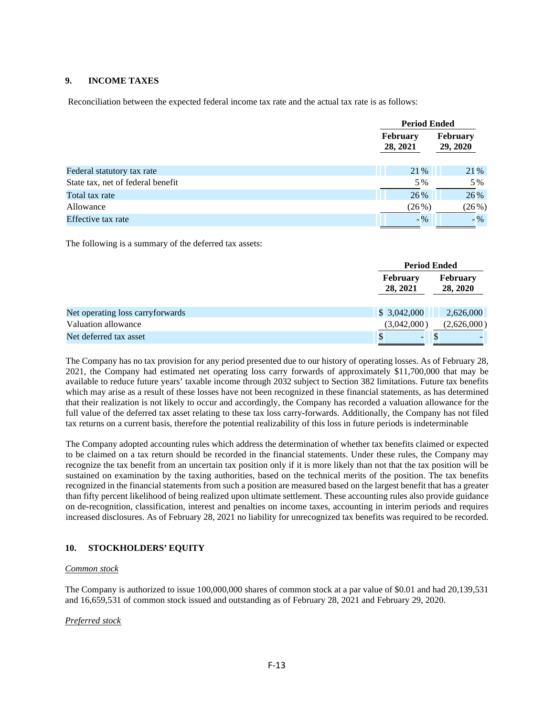# **9. INCOME TAXES**

Reconciliation between the expected federal income tax rate and the actual tax rate is as follows:

|                                   |                             | <b>Period Ended</b>         |
|-----------------------------------|-----------------------------|-----------------------------|
|                                   | <b>February</b><br>28, 2021 | <b>February</b><br>29, 2020 |
| Federal statutory tax rate        | 21%                         | 21%                         |
| State tax, net of federal benefit | 5 %                         | 5 %                         |
| Total tax rate                    | 26%                         | 26%                         |
| Allowance                         | $(26\%)$                    | (26%)                       |
| Effective tax rate                | $-9/6$                      | $-96$                       |

The following is a summary of the deferred tax assets:

|                                  |                             | <b>Period Ended</b>         |
|----------------------------------|-----------------------------|-----------------------------|
|                                  | <b>February</b><br>28, 2021 | <b>February</b><br>28, 2020 |
| Net operating loss carryforwards | \$3,042,000                 | 2,626,000                   |
| Valuation allowance              | (3,042,000)                 | (2,626,000)                 |
| Net deferred tax asset           | \$<br>۰                     | 8                           |

The Company has no tax provision for any period presented due to our history of operating losses. As of February 28, 2021, the Company had estimated net operating loss carry forwards of approximately \$11,700,000 that may be available to reduce future years' taxable income through 2032 subject to Section 382 limitations. Future tax benefits which may arise as a result of these losses have not been recognized in these financial statements, as has determined that their realization is not likely to occur and accordingly, the Company has recorded a valuation allowance for the full value of the deferred tax asset relating to these tax loss carry-forwards. Additionally, the Company has not filed tax returns on a current basis, therefore the potential realizability of this loss in future periods is indeterminable

The Company adopted accounting rules which address the determination of whether tax benefits claimed or expected to be claimed on a tax return should be recorded in the financial statements. Under these rules, the Company may recognize the tax benefit from an uncertain tax position only if it is more likely than not that the tax position will be sustained on examination by the taxing authorities, based on the technical merits of the position. The tax benefits recognized in the financial statements from such a position are measured based on the largest benefit that has a greater than fifty percent likelihood of being realized upon ultimate settlement. These accounting rules also provide guidance on de-recognition, classification, interest and penalties on income taxes, accounting in interim periods and requires increased disclosures. As of February 28, 2021 no liability for unrecognized tax benefits was required to be recorded.

# **10. STOCKHOLDERS' EQUITY**

# *Common stock*

The Company is authorized to issue 100,000,000 shares of common stock at a par value of \$0.01 and had 20,139,531 and 16,659,531 of common stock issued and outstanding as of February 28, 2021 and February 29, 2020.

# *Preferred stock*